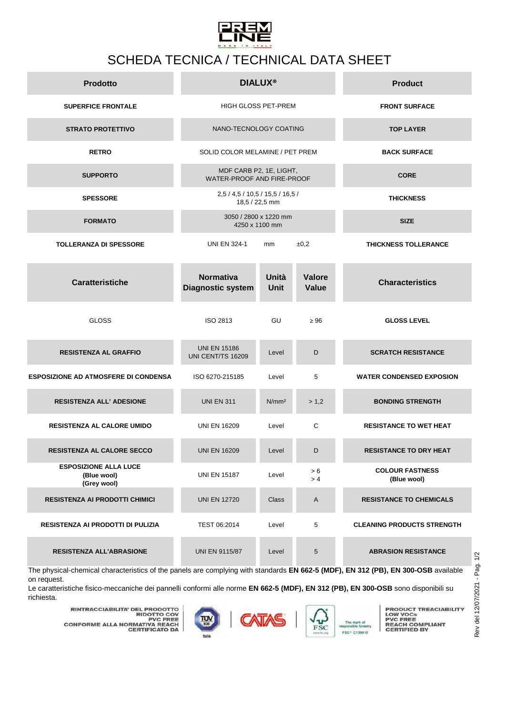

## SCHEDA TECNICA / TECHNICAL DATA SHEET

| <b>Prodotto</b>                                            |                                                       | <b>DIALUX®</b>                          | <b>Product</b>                |                                       |
|------------------------------------------------------------|-------------------------------------------------------|-----------------------------------------|-------------------------------|---------------------------------------|
| <b>SUPERFICE FRONTALE</b>                                  | <b>HIGH GLOSS PET-PREM</b>                            |                                         | <b>FRONT SURFACE</b>          |                                       |
| <b>STRATO PROTETTIVO</b>                                   | NANO-TECNOLOGY COATING                                |                                         | <b>TOP LAYER</b>              |                                       |
| <b>RETRO</b>                                               | SOLID COLOR MELAMINE / PET PREM                       |                                         | <b>BACK SURFACE</b>           |                                       |
| <b>SUPPORTO</b>                                            | MDF CARB P2, 1E, LIGHT,<br>WATER-PROOF AND FIRE-PROOF |                                         | <b>CORE</b>                   |                                       |
| <b>SPESSORE</b>                                            | 2,5 / 4,5 / 10,5 / 15,5 / 16,5 /                      | 18,5 / 22,5 mm                          | <b>THICKNESS</b>              |                                       |
| <b>FORMATO</b>                                             |                                                       | 3050 / 2800 x 1220 mm<br>4250 x 1100 mm | <b>SIZE</b>                   |                                       |
| <b>TOLLERANZA DI SPESSORE</b>                              | <b>UNI EN 324-1</b>                                   | mm                                      | ±0,2                          | <b>THICKNESS TOLLERANCE</b>           |
| <b>Caratteristiche</b>                                     | <b>Normativa</b><br><b>Diagnostic system</b>          | Unità<br><b>Unit</b>                    | <b>Valore</b><br><b>Value</b> | <b>Characteristics</b>                |
| <b>GLOSS</b>                                               | ISO 2813                                              | GU                                      | $\geq 96$                     | <b>GLOSS LEVEL</b>                    |
| <b>RESISTENZA AL GRAFFIO</b>                               | <b>UNI EN 15186</b><br>UNI CENT/TS 16209              | Level                                   | D                             | <b>SCRATCH RESISTANCE</b>             |
| <b>ESPOSIZIONE AD ATMOSFERE DI CONDENSA</b>                | ISO 6270-215185                                       | Level                                   | 5                             | <b>WATER CONDENSED EXPOSION</b>       |
| <b>RESISTENZA ALL' ADESIONE</b>                            | <b>UNI EN 311</b>                                     | N/mm <sup>2</sup>                       | > 1,2                         | <b>BONDING STRENGTH</b>               |
| <b>RESISTENZA AL CALORE UMIDO</b>                          | <b>UNI EN 16209</b>                                   | Level                                   | C                             | <b>RESISTANCE TO WET HEAT</b>         |
| <b>RESISTENZA AL CALORE SECCO</b>                          | <b>UNI EN 16209</b>                                   | Level                                   | D                             | <b>RESISTANCE TO DRY HEAT</b>         |
| <b>ESPOSIZIONE ALLA LUCE</b><br>(Blue wool)<br>(Grey wool) | <b>UNI EN 15187</b>                                   | Level                                   | > 6<br>> 4                    | <b>COLOUR FASTNESS</b><br>(Blue wool) |
| <b>RESISTENZA AI PRODOTTI CHIMICI</b>                      | <b>UNI EN 12720</b>                                   | Class                                   | Α                             | <b>RESISTANCE TO CHEMICALS</b>        |
| <b>RESISTENZA AI PRODOTTI DI PULIZIA</b>                   | TEST 06:2014                                          | Level                                   | 5                             | <b>CLEANING PRODUCTS STRENGTH</b>     |
| <b>RESISTENZA ALL'ABRASIONE</b>                            | <b>UNI EN 9115/87</b>                                 | Level                                   | 5                             | <b>ABRASION RESISTANCE</b>            |

The physical-chemical characteristics of the panels are complying with standards **EN 662-5 (MDF), EN 312 (PB), EN 300-OSB** available on request.

Le caratteristiche fisico-meccaniche dei pannelli conformi alle norme **EN 662-5 (MDF), EN 312 (PB), EN 300-OSB** sono disponibili su richiesta.

**RINTRACCIABILITA' DEL PRODOTTO<br>PIOTTO COV<br>PVC FREE<br>CONFORME ALLA NORMATIVA REACH<br>CERTIFICATO DA** 





**PRODUCT TREACIABILITY<br>PVC FREE<br>PVC FREE<br>REACH COMPLIANT<br>CERTIFIED BY**